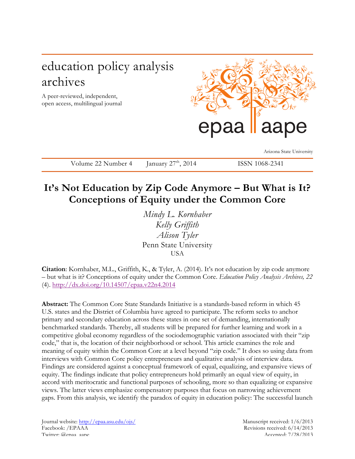# education policy analysis archives

A peer-reviewed, independent, open access, multilingual journal



Arizona State University

Volume 22 Number 4 January  $27<sup>th</sup>$ , 2014 ISSN 1068-2341

## **It's Not Education by Zip Code Anymore – But What is It? Conceptions of Equity under the Common Core**

*Mindy L. Kornhaber Kelly Griffith Alison Tyler* Penn State University USA

**Citation**: Kornhaber, M.L., Griffith, K., & Tyler, A. (2014). It's not education by zip code anymore – but what is it? Conceptions of equity under the Common Core. *Education Policy Analysis Archives, 22* (4). http://dx.doi.org/10.14507/epaa.v22n4.2014

**Abstract:** The Common Core State Standards Initiative is a standards-based reform in which 45 U.S. states and the District of Columbia have agreed to participate. The reform seeks to anchor primary and secondary education across these states in one set of demanding, internationally benchmarked standards. Thereby, all students will be prepared for further learning and work in a competitive global economy regardless of the sociodemographic variation associated with their "zip code," that is, the location of their neighborhood or school. This article examines the role and meaning of equity within the Common Core at a level beyond "zip code." It does so using data from interviews with Common Core policy entrepreneurs and qualitative analysis of interview data. Findings are considered against a conceptual framework of equal, equalizing, and expansive views of equity. The findings indicate that policy entrepreneurs hold primarily an equal view of equity, in accord with meritocratic and functional purposes of schooling, more so than equalizing or expansive views. The latter views emphasize compensatory purposes that focus on narrowing achievement gaps. From this analysis, we identify the paradox of equity in education policy: The successful launch

Journal website: http://epaa.asu.edu/ojs/ Manuscript received: 1/6/2013 Facebook: /EPAAA Revisions received: 6/14/2013 Twitter: @epaa\_aape Accepted: 7/28/2013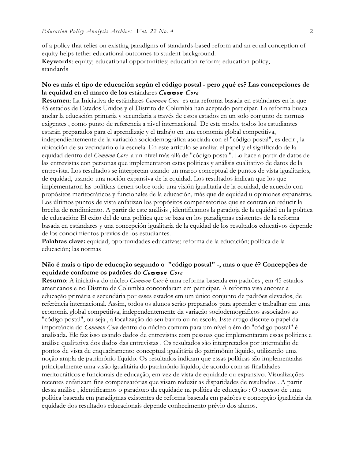of a policy that relies on existing paradigms of standards-based reform and an equal conception of equity helps tether educational outcomes to student background.

**Keywords**: equity; educational opportunities; education reform; education policy; standards

## **No es más el tipo de educación según el código postal - pero ¿qué es? Las concepciones de la equidad en el marco de los** estándares *Common Core*

**Resumen**: La Iniciativa de estándares *Common Core* es una reforma basada en estándares en la que 45 estados de Estados Unidos y el Distrito de Columbia han aceptado participar. La reforma busca anclar la educación primaria y secundaria a través de estos estados en un solo conjunto de normas exigentes , como punto de referencia a nivel internacional De este modo, todos los estudiantes estarán preparados para el aprendizaje y el trabajo en una economía global competitiva, independientemente de la variación sociodemográfica asociada con el "código postal", es decir , la ubicación de su vecindario o la escuela. En este artículo se analiza el papel y el significado de la equidad dentro del *Common Core* a un nivel más allá de "código postal". Lo hace a partir de datos de las entrevistas con personas que implementaron estas políticas y análisis cualitativo de datos de la entrevista. Los resultados se interpretan usando un marco conceptual de puntos de vista igualitarios, de equidad, usando una noción expansiva de la equidad. Los resultados indican que los que implementaron las políticas tienen sobre todo una visión igualitaria de la equidad, de acuerdo con propósitos meritocráticos y funcionales de la educación, más que de equidad u opiniones expansivas. Los últimos puntos de vista enfatizan los propósitos compensatorios que se centran en reducir la brecha de rendimiento. A partir de este análisis , identificamos la paradoja de la equidad en la política de educación: El éxito del de una política que se basa en los paradigmas existentes de la reforma basada en estándares y una concepción igualitaria de la equidad de los resultados educativos depende de los conocimientos previos de los estudiantes.

**Palabras clave:** equidad; oportunidades educativas; reforma de la educación; política de la educación; las normas

## **Não é mais o tipo de educação segundo o "código postal" -, mas o que é? Concepções de equidade conforme os padrões do** *Common Core*

**Resumo**: A iniciativa do núcleo *Common Core* é uma reforma baseada em padrões , em 45 estados americanos e no Distrito de Columbia concordaram em participar. A reforma visa ancorar a educação primária e secundária por esses estados em um único conjunto de padrões elevados, de referência internacional. Assim, todos os alunos serão preparados para aprender e trabalhar em uma economia global competitiva, independentemente da variação sociodemográficos associados ao "código postal", ou seja , a localização do seu bairro ou na escola. Este artigo discute o papel da importância do *Common Core* dentro do núcleo comum para um nível além do "código postal" é analisada. Ele faz isso usando dados de entrevistas com pessoas que implementaram essas políticas e análise qualitativa dos dados das entrevistas . Os resultados são interpretados por intermédio de pontos de vista de enquadramento conceptual igualitária do patrimônio líquido, utilizando uma noção ampla de patrimônio líquido. Os resultados indicam que essas políticas são implementadas principalmente uma visão igualitária do patrimônio líquido, de acordo com as finalidades meritocráticos e funcionais de educação, em vez de vista de equidade ou expansivo. Visualizações recentes enfatizam fins compensatórias que visam reduzir as disparidades de resultados . A partir dessa análise , identificamos o paradoxo da equidade na política de educação : O sucesso de uma política baseada em paradigmas existentes de reforma baseada em padrões e concepção igualitária da equidade dos resultados educacionais depende conhecimento prévio dos alunos.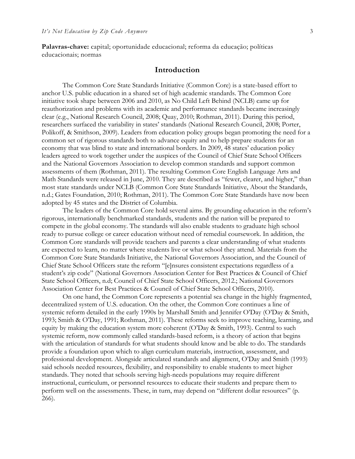**Palavras-chave:** capital; oportunidade educacional; reforma da educação; políticas educacionais; normas

### **Introduction**

The Common Core State Standards Initiative (Common Core) is a state-based effort to anchor U.S. public education in a shared set of high academic standards. The Common Core initiative took shape between 2006 and 2010, as No Child Left Behind (NCLB) came up for reauthorization and problems with its academic and performance standards became increasingly clear (e.g., National Research Council, 2008; Quay, 2010; Rothman, 2011). During this period, researchers surfaced the variability in states' standards (National Research Council, 2008; Porter, Polikoff, & Smithson, 2009). Leaders from education policy groups began promoting the need for a common set of rigorous standards both to advance equity and to help prepare students for an economy that was blind to state and international borders. In 2009, 48 states' education policy leaders agreed to work together under the auspices of the Council of Chief State School Officers and the National Governors Association to develop common standards and support common assessments of them (Rothman, 2011). The resulting Common Core English Language Arts and Math Standards were released in June, 2010. They are described as "fewer, clearer, and higher," than most state standards under NCLB (Common Core State Standards Initiative, About the Standards, n.d.; Gates Foundation, 2010; Rothman, 2011). The Common Core State Standards have now been adopted by 45 states and the District of Columbia.

The leaders of the Common Core hold several aims. By grounding education in the reform's rigorous, internationally benchmarked standards, students and the nation will be prepared to compete in the global economy. The standards will also enable students to graduate high school ready to pursue college or career education without need of remedial coursework. In addition, the Common Core standards will provide teachers and parents a clear understanding of what students are expected to learn, no matter where students live or what school they attend. Materials from the Common Core State Standards Initiative, the National Governors Association, and the Council of Chief State School Officers state the reform "[e]nsures consistent expectations regardless of a student's zip code" (National Governors Association Center for Best Practices & Council of Chief State School Officers, n.d; Council of Chief State School Officers, 2012.; National Governors Association Center for Best Practices & Council of Chief State School Officers, 2010).

On one hand, the Common Core represents a potential sea change in the highly fragmented, decentralized system of U.S. education. On the other, the Common Core continues a line of systemic reform detailed in the early 1990s by Marshall Smith and Jennifer O'Day (O'Day & Smith, 1993; Smith & O'Day, 1991; Rothman, 2011). These reforms seek to improve teaching, learning, and equity by making the education system more coherent (O'Day & Smith, 1993). Central to such systemic reform, now commonly called standards-based reform, is a theory of action that begins with the articulation of standards for what students should know and be able to do. The standards provide a foundation upon which to align curriculum materials, instruction, assessment, and professional development. Alongside articulated standards and alignment, O'Day and Smith (1993) said schools needed resources, flexibility, and responsibility to enable students to meet higher standards. They noted that schools serving high-needs populations may require different instructional, curriculum, or personnel resources to educate their students and prepare them to perform well on the assessments. These, in turn, may depend on "different dollar resources" (p. 266).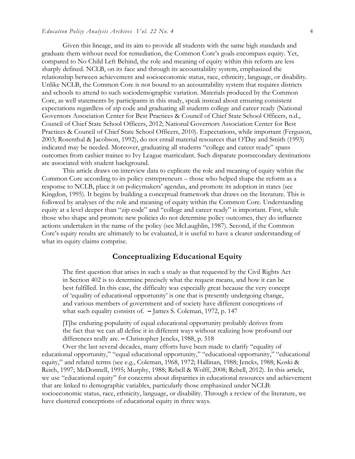#### *Education Policy Analysis Archives Vol. 22 No. 4* 4

Given this lineage, and its aim to provide all students with the same high standards and graduate them without need for remediation, the Common Core's goals encompass equity. Yet, compared to No Child Left Behind, the role and meaning of equity within this reform are less sharply defined. NCLB, on its face and through its accountability system, emphasized the relationship between achievement and socioeconomic status, race, ethnicity, language, or disability. Unlike NCLB, the Common Core is not bound to an accountability system that requires districts and schools to attend to such sociodemographic variation. Materials produced by the Common Core, as well statements by participants in this study, speak instead about ensuring consistent expectations regardless of zip code and graduating all students college and career ready (National Governors Association Center for Best Practices & Council of Chief State School Officers, n.d., Council of Chief State School Officers, 2012; National Governors Association Center for Best Practices & Council of Chief State School Officers, 2010). Expectations, while important (Ferguson, 2003; Rosenthal & Jacobson, 1992), do not entail material resources that O'Day and Smith (1993) indicated may be needed. Moreover, graduating all students "college and career ready" spans outcomes from cashier trainee to Ivy League matriculant. Such disparate postsecondary destinations are associated with student background.

This article draws on interview data to explicate the role and meaning of equity within the Common Core according to its policy entrepreneurs – those who helped shape the reform as a response to NCLB, place it on policymakers' agendas, and promote its adoption in states (see Kingdon, 1995). It begins by building a conceptual framework that draws on the literature. This is followed by analyses of the role and meaning of equity within the Common Core. Understanding equity at a level deeper than "zip code" and "college and career ready" is important. First, while those who shape and promote new policies do not determine policy outcomes, they do influence actions undertaken in the name of the policy (see McLaughlin, 1987). Second, if the Common Core's equity results are ultimately to be evaluated, it is useful to have a clearer understanding of what its equity claims comprise.

## **Conceptualizing Educational Equity**

The first question that arises in such a study as that requested by the Civil Rights Act in Section 402 is to determine precisely what the request means, and how it can be best fulfilled. In this case, the difficulty was especially great because the very concept of 'equality of educational opportunity' is one that is presently undergoing change, and various members of government and of society have different conceptions of what such equality consists of. **–** James S. Coleman, 1972, p. 147

[T]he enduring popularity of equal educational opportunity probably derives from the fact that we can all define it in different ways without realizing how profound our differences really are. **–** Christopher Jencks, 1988, p. 518

Over the last several decades, many efforts have been made to clarify "equality of educational opportunity," "equal educational opportunity," "educational opportunity," "educational equity," and related terms (see e.g., Coleman, 1968, 1972; Hallinan, 1988; Jencks, 1988; Koski & Reich, 1997; McDonnell, 1995; Murphy, 1988; Rebell & Wolff, 2008; Rebell, 2012). In this article, we use "educational equity" for concerns about disparities in educational resources and achievement that are linked to demographic variables, particularly those emphasized under NCLB: socioeconomic status, race, ethnicity, language, or disability. Through a review of the literature, we have clustered conceptions of educational equity in three ways.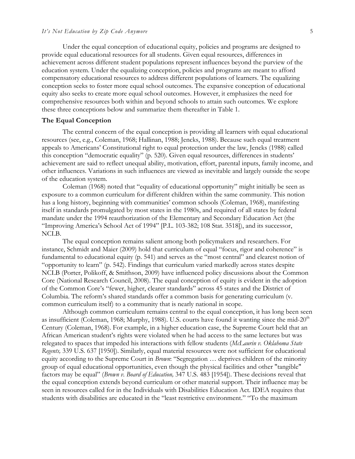Under the equal conception of educational equity, policies and programs are designed to provide equal educational resources for all students. Given equal resources, differences in achievement across different student populations represent influences beyond the purview of the education system. Under the equalizing conception, policies and programs are meant to afford compensatory educational resources to address different populations of learners. The equalizing conception seeks to foster more equal school outcomes. The expansive conception of educational equity also seeks to create more equal school outcomes. However, it emphasizes the need for comprehensive resources both within and beyond schools to attain such outcomes. We explore these three conceptions below and summarize them thereafter in Table 1.

#### **The Equal Conception**

The central concern of the equal conception is providing all learners with equal educational resources (see, e.g., Coleman, 1968; Hallinan, 1988; Jencks, 1988). Because such equal treatment appeals to Americans' Constitutional right to equal protection under the law, Jencks (1988) called this conception "democratic equality" (p. 520). Given equal resources, differences in students' achievement are said to reflect unequal ability, motivation, effort, parental inputs, family income, and other influences. Variations in such influences are viewed as inevitable and largely outside the scope of the education system.

Coleman (1968) noted that "equality of educational opportunity" might initially be seen as exposure to a common curriculum for different children within the same community. This notion has a long history, beginning with communities' common schools (Coleman, 1968), manifesting itself in standards promulgated by most states in the 1980s, and required of all states by federal mandate under the 1994 reauthorization of the Elementary and Secondary Education Act (the "Improving America's School Act of 1994" [P.L. 103-382; 108 Stat. 3518]), and its successor, NCLB.

The equal conception remains salient among both policymakers and researchers. For instance, Schmidt and Maier (2009) hold that curriculum of equal "focus, rigor and coherence" is fundamental to educational equity (p. 541) and serves as the "most central" and clearest notion of "opportunity to learn" (p. 542). Findings that curriculum varied markedly across states despite NCLB (Porter, Polikoff, & Smithson, 2009) have influenced policy discussions about the Common Core (National Research Council, 2008). The equal conception of equity is evident in the adoption of the Common Core's "fewer, higher, clearer standards" across 45 states and the District of Columbia. The reform's shared standards offer a common basis for generating curriculum (v. common curriculum itself) to a community that is nearly national in scope.

Although common curriculum remains central to the equal conception, it has long been seen as insufficient (Coleman, 1968; Murphy, 1988). U.S. courts have found it wanting since the mid-20<sup>th</sup> Century (Coleman, 1968). For example, in a higher education case, the Supreme Court held that an African American student's rights were violated when he had access to the same lectures but was relegated to spaces that impeded his interactions with fellow students (*McLaurin v. Oklahoma State Regents,* 339 U.S. 637 [1950]). Similarly, equal material resources were not sufficient for educational equity according to the Supreme Court in *Brown*: "Segregation … deprives children of the minority group of equal educational opportunities, even though the physical facilities and other "tangible" factors may be equal" (*Brown v. Board of Education,* 347 U.S. 483 [1954]). These decisions reveal that the equal conception extends beyond curriculum or other material support. Their influence may be seen in resources called for in the Individuals with Disabilities Education Act. IDEA requires that students with disabilities are educated in the "least restrictive environment." "To the maximum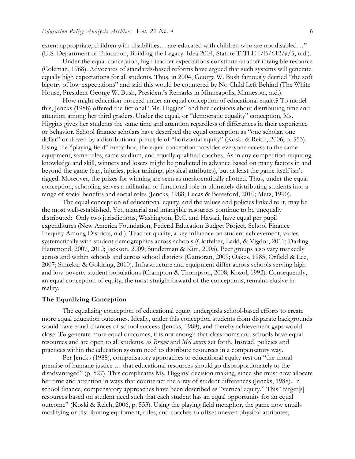extent appropriate, children with disabilities… are educated with children who are not disabled…" (U.S. Department of Education, Building the Legacy: Idea 2004, Statute TITLE I/B/612/a/5, n.d.).

Under the equal conception, high teacher expectations constitute another intangible resource (Coleman, 1968). Advocates of standards-based reforms have argued that such systems will generate equally high expectations for all students. Thus, in 2004, George W. Bush famously decried "the soft bigotry of low expectations" and said this would be countered by No Child Left Behind (The White House, President George W. Bush, President's Remarks in Minneapolis, Minnesota, n.d.).

How might education proceed under an equal conception of educational equity? To model this, Jencks (1988) offered the fictional "Ms. Higgins" and her decisions about distributing time and attention among her third graders. Under the equal, or "democratic equality" conception, Ms. Higgins gives her students the same time and attention regardless of differences in their experience or behavior. School finance scholars have described the equal conception as "one scholar, one dollar" or driven by a distributional principle of "horizontal equity" (Koski & Reich, 2006, p. 553). Using the "playing field" metaphor, the equal conception provides everyone access to the same equipment, same rules, same stadium, and equally qualified coaches. As in any competition requiring knowledge and skill, winners and losers might be predicted in advance based on many factors in and beyond the game (e.g., injuries, prior training, physical attributes), but at least the game itself isn't rigged. Moreover, the prizes for winning are seen as meritocratically allotted. Thus, under the equal conception, schooling serves a utilitarian or functional role in ultimately distributing students into a range of social benefits and social roles (Jencks, 1988; Lucas & Beresford, 2010; Metz, 1990).

The equal conception of educational equity, and the values and policies linked to it, may be the most well-established. Yet, material and intangible resources continue to be unequally distributed: Only two jurisdictions, Washington, D.C. and Hawaii, have equal per pupil expenditures (New America Foundation, Federal Education Budget Project, School Finance Inequity Among Districts, n.d.). Teacher quality, a key influence on student achievement, varies systematically with student demographics across schools (Clotfelter, Ladd, & Vigdor, 2011; Darling-Hammond, 2007, 2010; Jackson, 2009; Sunderman & Kim, 2005). Peer groups also vary markedly across and within schools and across school districts (Gamoran, 2009; Oakes, 1985; Orfield & Lee, 2007; Smrekar & Goldring, 2010). Infrastructure and equipment differ across schools serving highand low-poverty student populations (Crampton & Thompson, 2008; Kozol, 1992). Consequently, an equal conception of equity, the most straightforward of the conceptions, remains elusive in reality.

#### **The Equalizing Conception**

The equalizing conception of educational equity undergirds school-based efforts to create more equal education outcomes. Ideally, under this conception students from disparate backgrounds would have equal chances of school success (Jencks, 1988), and thereby achievement gaps would close. To generate more equal outcomes, it is not enough that classrooms and schools have equal resources and are open to all students, as *Brown* and *McLaurin* set forth. Instead, policies and practices within the education system need to distribute resources in a compensatory way.

Per Jencks (1988), compensatory approaches to educational equity rest on "the moral premise of humane justice … that educational resources should go disproportionately to the disadvantaged" (p. 527). This complicates Ms. Higgins' decision making, since she must now allocate her time and attention in ways that counteract the array of student differences (Jencks, 1988). In school finance, compensatory approaches have been described as "vertical equity." This "target[s] resources based on student need such that each student has an equal opportunity for an equal outcome" (Koski & Reich, 2006, p. 553). Using the playing field metaphor, the game now entails modifying or distributing equipment, rules, and coaches to offset uneven physical attributes,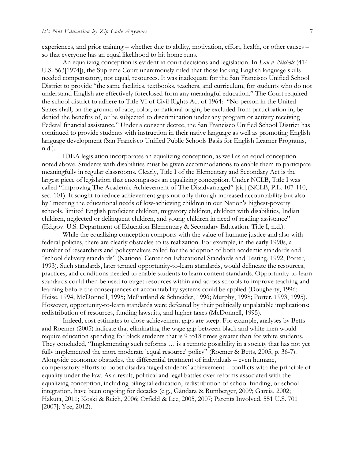experiences, and prior training – whether due to ability, motivation, effort, health, or other causes – so that everyone has an equal likelihood to hit home runs.

An equalizing conception is evident in court decisions and legislation. In *Lau v. Nichols* (414 U.S. 563[1974]), the Supreme Court unanimously ruled that those lacking English language skills needed compensatory, not equal, resources. It was inadequate for the San Francisco Unified School District to provide "the same facilities, textbooks, teachers, and curriculum, for students who do not understand English are effectively foreclosed from any meaningful education." The Court required the school district to adhere to Title VI of Civil Rights Act of 1964: "No person in the United States shall, on the ground of race, color, or national origin, be excluded from participation in, be denied the benefits of, or be subjected to discrimination under any program or activity receiving Federal financial assistance." Under a consent decree, the San Francisco Unified School District has continued to provide students with instruction in their native language as well as promoting English language development (San Francisco Unified Public Schools Basis for English Learner Programs, n.d.).

IDEA legislation incorporates an equalizing conception, as well as an equal conception noted above. Students with disabilities must be given accommodations to enable them to participate meaningfully in regular classrooms. Clearly, Title I of the Elementary and Secondary Act is the largest piece of legislation that encompasses an equalizing conception. Under NCLB, Title I was called "Improving The Academic Achievement of The Disadvantaged" [sic] (NCLB, P.L. 107-110, sec. 101). It sought to reduce achievement gaps not only through increased accountability but also by "meeting the educational needs of low-achieving children in our Nation's highest-poverty schools, limited English proficient children, migratory children, children with disabilities, Indian children, neglected or delinquent children, and young children in need of reading assistance" (Ed.gov. U.S. Department of Education Elementary & Secondary Education. Title I, n.d.).

While the equalizing conception comports with the value of humane justice and also with federal policies, there are clearly obstacles to its realization. For example, in the early 1990s, a number of researchers and policymakers called for the adoption of both academic standards and "school delivery standards" (National Center on Educational Standards and Testing, 1992; Porter, 1993). Such standards, later termed opportunity-to-learn standards, would delineate the resources, practices, and conditions needed to enable students to learn content standards. Opportunity-to-learn standards could then be used to target resources within and across schools to improve teaching and learning before the consequences of accountability systems could be applied (Dougherty, 1996; Heise, 1994; McDonnell, 1995; McPartland & Schneider, 1996; Murphy, 1998; Porter, 1993, 1995). However, opportunity-to-learn standards were defeated by their politically unpalatable implications: redistribution of resources, funding lawsuits, and higher taxes (McDonnell, 1995).

Indeed, cost estimates to close achievement gaps are steep. For example, analyses by Betts and Roemer (2005) indicate that eliminating the wage gap between black and white men would require education spending for black students that is 9 to18 times greater than for white students. They concluded, "Implementing such reforms … is a remote possibility in a society that has not yet fully implemented the more moderate 'equal resource' policy" (Roemer & Betts, 2005, p. 36-7). Alongside economic obstacles, the differential treatment of individuals – even humane, compensatory efforts to boost disadvantaged students' achievement – conflicts with the principle of equality under the law. As a result, political and legal battles over reforms associated with the equalizing conception, including bilingual education, redistribution of school funding, or school integration, have been ongoing for decades (e.g., Gándara & Rumberger, 2009; Garcia, 2002; Hakuta, 2011; Koski & Reich, 2006; Orfield & Lee, 2005, 2007; Parents Involved, 551 U.S. 701 [2007]; Yee, 2012).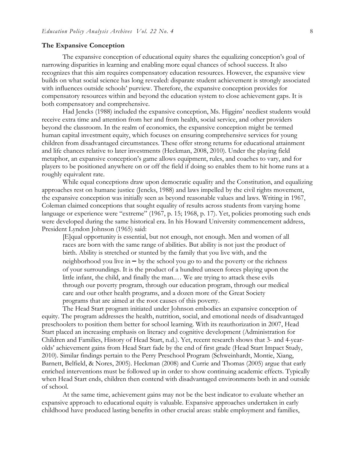#### **The Expansive Conception**

The expansive conception of educational equity shares the equalizing conception's goal of narrowing disparities in learning and enabling more equal chances of school success. It also recognizes that this aim requires compensatory education resources. However, the expansive view builds on what social science has long revealed: disparate student achievement is strongly associated with influences outside schools' purview. Therefore, the expansive conception provides for compensatory resources within and beyond the education system to close achievement gaps. It is both compensatory and comprehensive.

Had Jencks (1988) included the expansive conception, Ms. Higgins' neediest students would receive extra time and attention from her and from health, social service, and other providers beyond the classroom. In the realm of economics, the expansive conception might be termed human capital investment equity, which focuses on ensuring comprehensive services for young children from disadvantaged circumstances. These offer strong returns for educational attainment and life chances relative to later investments (Heckman, 2008, 2010). Under the playing field metaphor, an expansive conception's game allows equipment, rules, and coaches to vary, and for players to be positioned anywhere on or off the field if doing so enables them to hit home runs at a roughly equivalent rate.

While equal conceptions draw upon democratic equality and the Constitution, and equalizing approaches rest on humane justice (Jencks, 1988) and laws impelled by the civil rights movement, the expansive conception was initially seen as beyond reasonable values and laws. Writing in 1967, Coleman claimed conceptions that sought equality of results across students from varying home language or experience were "extreme" (1967, p. 15; 1968, p. 17). Yet, policies promoting such ends were developed during the same historical era. In his Howard University commencement address, President Lyndon Johnson (1965) said:

[E]qual opportunity is essential, but not enough, not enough. Men and women of all races are born with the same range of abilities. But ability is not just the product of birth. Ability is stretched or stunted by the family that you live with, and the neighborhood you live in **–** by the school you go to and the poverty or the richness of your surroundings. It is the product of a hundred unseen forces playing upon the little infant, the child, and finally the man.… We are trying to attack these evils through our poverty program, through our education program, through our medical care and our other health programs, and a dozen more of the Great Society programs that are aimed at the root causes of this poverty.

The Head Start program initiated under Johnson embodies an expansive conception of equity. The program addresses the health, nutrition, social, and emotional needs of disadvantaged preschoolers to position them better for school learning. With its reauthorization in 2007, Head Start placed an increasing emphasis on literacy and cognitive development (Administration for Children and Families, History of Head Start, n.d.). Yet, recent research shows that 3- and 4-yearolds' achievement gains from Head Start fade by the end of first grade (Head Start Impact Study, 2010). Similar findings pertain to the Perry Preschool Program (Schweinhardt, Montie, Xiang, Barnett, Belfield, & Nores, 2005). Heckman (2008) and Currie and Thomas (2005) argue that early enriched interventions must be followed up in order to show continuing academic effects. Typically when Head Start ends, children then contend with disadvantaged environments both in and outside of school.

At the same time, achievement gains may not be the best indicator to evaluate whether an expansive approach to educational equity is valuable. Expansive approaches undertaken in early childhood have produced lasting benefits in other crucial areas: stable employment and families,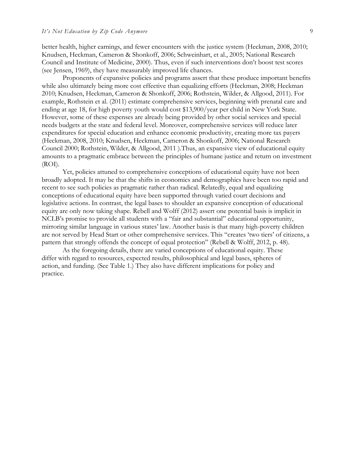better health, higher earnings, and fewer encounters with the justice system (Heckman, 2008, 2010; Knudsen, Heckman, Cameron & Shonkoff, 2006; Schweinhart, et al., 2005; National Research Council and Institute of Medicine, 2000). Thus, even if such interventions don't boost test scores (see Jensen, 1969), they have measurably improved life chances.

Proponents of expansive policies and programs assert that these produce important benefits while also ultimately being more cost effective than equalizing efforts (Heckman, 2008; Heckman 2010; Knudsen, Heckman, Cameron & Shonkoff, 2006; Rothstein, Wilder, & Allgood, 2011). For example, Rothstein et al. (2011) estimate comprehensive services, beginning with prenatal care and ending at age 18, for high poverty youth would cost \$13,900/year per child in New York State. However, some of these expenses are already being provided by other social services and special needs budgets at the state and federal level. Moreover, comprehensive services will reduce later expenditures for special education and enhance economic productivity, creating more tax payers (Heckman, 2008, 2010; Knudsen, Heckman, Cameron & Shonkoff, 2006; National Research Council 2000; Rothstein, Wilder, & Allgood, 2011 ).Thus, an expansive view of educational equity amounts to a pragmatic embrace between the principles of humane justice and return on investment (ROI).

Yet, policies attuned to comprehensive conceptions of educational equity have not been broadly adopted. It may be that the shifts in economics and demographics have been too rapid and recent to see such policies as pragmatic rather than radical. Relatedly, equal and equalizing conceptions of educational equity have been supported through varied court decisions and legislative actions. In contrast, the legal bases to shoulder an expansive conception of educational equity are only now taking shape. Rebell and Wolff (2012) assert one potential basis is implicit in NCLB's promise to provide all students with a "fair and substantial" educational opportunity, mirroring similar language in various states' law. Another basis is that many high-poverty children are not served by Head Start or other comprehensive services. This "creates 'two tiers' of citizens, a pattern that strongly offends the concept of equal protection" (Rebell & Wolff, 2012, p. 48).

As the foregoing details, there are varied conceptions of educational equity. These differ with regard to resources, expected results, philosophical and legal bases, spheres of action, and funding. (See Table 1.) They also have different implications for policy and practice.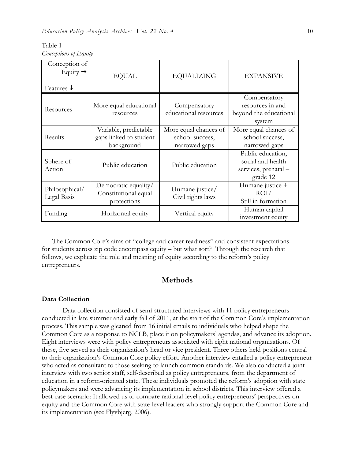| Table 1               |  |
|-----------------------|--|
| Conceptions of Equity |  |

| Conception of<br>Equity $\rightarrow$<br>Features $\downarrow$ | <b>EQUAL</b>                                                  | <b>EQUALIZING</b>                                         | <b>EXPANSIVE</b>                                                           |
|----------------------------------------------------------------|---------------------------------------------------------------|-----------------------------------------------------------|----------------------------------------------------------------------------|
| Resources                                                      | More equal educational<br>resources                           | Compensatory<br>educational resources                     | Compensatory<br>resources in and<br>beyond the educational<br>system       |
| Results                                                        | Variable, predictable<br>gaps linked to student<br>background | More equal chances of<br>school success,<br>narrowed gaps | More equal chances of<br>school success,<br>narrowed gaps                  |
| Sphere of<br>Action                                            | Public education                                              | Public education                                          | Public education,<br>social and health<br>services, prenatal -<br>grade 12 |
| Philosophical/<br>Legal Basis                                  | Democratic equality/<br>Constitutional equal<br>protections   | Humane justice/<br>Civil rights laws                      | Humane justice +<br>ROI/<br>Still in formation                             |
| Funding                                                        | Horizontal equity                                             | Vertical equity                                           | Human capital<br>investment equity                                         |

The Common Core's aims of "college and career readiness" and consistent expectations for students across zip code encompass equity – but what sort? Through the research that follows, we explicate the role and meaning of equity according to the reform's policy entrepreneurs.

## **Methods**

#### **Data Collection**

Data collection consisted of semi-structured interviews with 11 policy entrepreneurs conducted in late summer and early fall of 2011, at the start of the Common Core's implementation process. This sample was gleaned from 16 initial emails to individuals who helped shape the Common Core as a response to NCLB, place it on policymakers' agendas, and advance its adoption. Eight interviews were with policy entrepreneurs associated with eight national organizations. Of these, five served as their organization's head or vice president. Three others held positions central to their organization's Common Core policy effort. Another interview entailed a policy entrepreneur who acted as consultant to those seeking to launch common standards. We also conducted a joint interview with two senior staff, self-described as policy entrepreneurs, from the department of education in a reform-oriented state. These individuals promoted the reform's adoption with state policymakers and were advancing its implementation in school districts. This interview offered a best case scenario: It allowed us to compare national-level policy entrepreneurs' perspectives on equity and the Common Core with state-level leaders who strongly support the Common Core and its implementation (see Flyvbjerg, 2006).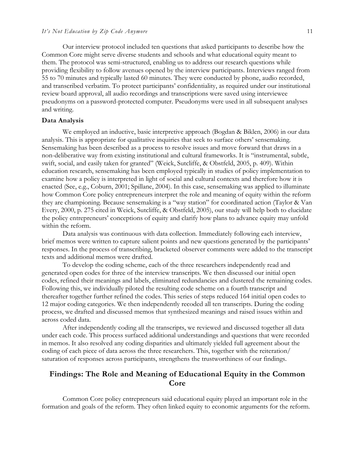Our interview protocol included ten questions that asked participants to describe how the Common Core might serve diverse students and schools and what educational equity meant to them. The protocol was semi-structured, enabling us to address our research questions while providing flexibility to follow avenues opened by the interview participants. Interviews ranged from 55 to 70 minutes and typically lasted 60 minutes. They were conducted by phone, audio recorded, and transcribed verbatim. To protect participants' confidentiality, as required under our institutional review board approval, all audio recordings and transcriptions were saved using interviewee pseudonyms on a password-protected computer. Pseudonyms were used in all subsequent analyses and writing.

#### **Data Analysis**

We employed an inductive, basic interpretive approach (Bogdan & Biklen, 2006) in our data analysis. This is appropriate for qualitative inquiries that seek to surface others' sensemaking. Sensemaking has been described as a process to resolve issues and move forward that draws in a non-deliberative way from existing institutional and cultural frameworks. It is "instrumental, subtle, swift, social, and easily taken for granted" (Weick, Sutcliffe, & Obstfeld, 2005, p. 409). Within education research, sensemaking has been employed typically in studies of policy implementation to examine how a policy is interpreted in light of social and cultural contexts and therefore how it is enacted (See, e.g., Coburn, 2001; Spillane, 2004). In this case, sensemaking was applied to illuminate how Common Core policy entrepreneurs interpret the role and meaning of equity within the reform they are championing. Because sensemaking is a "way station" for coordinated action (Taylor & Van Every, 2000, p. 275 cited in Weick, Sutcliffe, & Obstfeld, 2005), our study will help both to elucidate the policy entrepreneurs' conceptions of equity and clarify how plans to advance equity may unfold within the reform.

Data analysis was continuous with data collection. Immediately following each interview, brief memos were written to capture salient points and new questions generated by the participants' responses. In the process of transcribing, bracketed observer comments were added to the transcript texts and additional memos were drafted.

To develop the coding scheme, each of the three researchers independently read and generated open codes for three of the interview transcripts. We then discussed our initial open codes, refined their meanings and labels, eliminated redundancies and clustered the remaining codes. Following this, we individually piloted the resulting code scheme on a fourth transcript and thereafter together further refined the codes. This series of steps reduced 164 initial open codes to 12 major coding categories. We then independently recoded all ten transcripts. During the coding process, we drafted and discussed memos that synthesized meanings and raised issues within and across coded data.

After independently coding all the transcripts, we reviewed and discussed together all data under each code. This process surfaced additional understandings and questions that were recorded in memos. It also resolved any coding disparities and ultimately yielded full agreement about the coding of each piece of data across the three researchers. This, together with the reiteration/ saturation of responses across participants, strengthens the trustworthiness of our findings.

## **Findings: The Role and Meaning of Educational Equity in the Common Core**

Common Core policy entrepreneurs said educational equity played an important role in the formation and goals of the reform. They often linked equity to economic arguments for the reform.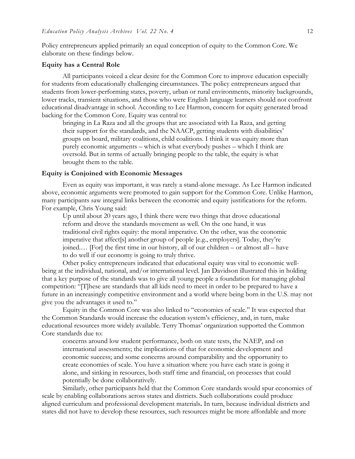Policy entrepreneurs applied primarily an equal conception of equity to the Common Core. We elaborate on these findings below.

#### **Equity has a Central Role**

All participants voiced a clear desire for the Common Core to improve education especially for students from educationally challenging circumstances. The policy entrepreneurs argued that students from lower-performing states, poverty, urban or rural environments, minority backgrounds, lower tracks, transient situations, and those who were English language learners should not confront educational disadvantage in school. According to Lee Harmon, concern for equity generated broad backing for the Common Core. Equity was central to:

bringing in La Raza and all the groups that are associated with La Raza, and getting their support for the standards, and the NAACP, getting students with disabilities' groups on board, military coalitions, child coalitions. I think it was equity more than purely economic arguments – which is what everybody pushes – which I think are oversold. But in terms of actually bringing people to the table, the equity is what brought them to the table.

#### **Equity is Conjoined with Economic Messages**

Even as equity was important, it was rarely a stand-alone message. As Lee Harmon indicated above, economic arguments were promoted to gain support for the Common Core. Unlike Harmon, many participants saw integral links between the economic and equity justifications for the reform. For example, Chris Young said:

Up until about 20 years ago, I think there were two things that drove educational reform and drove the standards movement as well. On the one hand, it was traditional civil rights equity: the moral imperative. On the other, was the economic imperative that affect[s] another group of people [e.g., employers]. Today, they're joined.… [For] the first time in our history, all of our children – or almost all – have to do well if our economy is going to truly thrive.

Other policy entrepreneurs indicated that educational equity was vital to economic wellbeing at the individual, national, and/or international level. Jan Davidson illustrated this in holding that a key purpose of the standards was to give all young people a foundation for managing global competition: "[T]hese are standards that all kids need to meet in order to be prepared to have a future in an increasingly competitive environment and a world where being born in the U.S. may not give you the advantages it used to."

Equity in the Common Core was also linked to "economies of scale." It was expected that the Common Standards would increase the education system's efficiency, and, in turn, make educational resources more widely available. Terry Thomas' organization supported the Common Core standards due to:

concerns around low student performance, both on state tests, the NAEP, and on international assessments; the implications of that for economic development and economic success; and some concerns around comparability and the opportunity to create economies of scale. You have a situation where you have each state is going it alone, and sinking in resources, both staff time and financial, on processes that could potentially be done collaboratively.

Similarly, other participants held that the Common Core standards would spur economies of scale by enabling collaborations across states and districts. Such collaborations could produce aligned curriculum and professional development materials**.** In turn, because individual districts and states did not have to develop these resources, such resources might be more affordable and more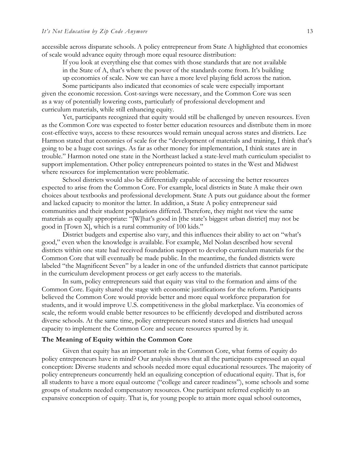accessible across disparate schools. A policy entrepreneur from State A highlighted that economies of scale would advance equity through more equal resource distribution:

If you look at everything else that comes with those standards that are not available

in the State of A, that's where the power of the standards come from. It's building

up economies of scale. Now we can have a more level playing field across the nation.

Some participants also indicated that economies of scale were especially important given the economic recession. Cost-savings were necessary, and the Common Core was seen as a way of potentially lowering costs, particularly of professional development and curriculum materials, while still enhancing equity.

Yet, participants recognized that equity would still be challenged by uneven resources. Even as the Common Core was expected to foster better education resources and distribute them in more cost-effective ways, access to these resources would remain unequal across states and districts. Lee Harmon stated that economies of scale for the "development of materials and training, I think that's going to be a huge cost savings. As far as other money for implementation, I think states are in trouble." Harmon noted one state in the Northeast lacked a state-level math curriculum specialist to support implementation. Other policy entrepreneurs pointed to states in the West and Midwest where resources for implementation were problematic.

School districts would also be differentially capable of accessing the better resources expected to arise from the Common Core. For example, local districts in State A make their own choices about textbooks and professional development. State A puts out guidance about the former and lacked capacity to monitor the latter. In addition, a State A policy entrepreneur said communities and their student populations differed. Therefore, they might not view the same materials as equally appropriate: "[W]hat's good in [the state's biggest urban district] may not be good in [Town X], which is a rural community of 100 kids."

District budgets and expertise also vary, and this influences their ability to act on "what's good," even when the knowledge is available. For example, Mel Nolan described how several districts within one state had received foundation support to develop curriculum materials for the Common Core that will eventually be made public. In the meantime, the funded districts were labeled "the Magnificent Seven" by a leader in one of the unfunded districts that cannot participate in the curriculum development process or get early access to the materials.

In sum, policy entrepreneurs said that equity was vital to the formation and aims of the Common Core. Equity shared the stage with economic justifications for the reform. Participants believed the Common Core would provide better and more equal workforce preparation for students, and it would improve U.S. competitiveness in the global marketplace. Via economies of scale, the reform would enable better resources to be efficiently developed and distributed across diverse schools. At the same time, policy entrepreneurs noted states and districts had unequal capacity to implement the Common Core and secure resources spurred by it.

#### **The Meaning of Equity within the Common Core**

Given that equity has an important role in the Common Core, what forms of equity do policy entrepreneurs have in mind? Our analysis shows that all the participants expressed an equal conception: Diverse students and schools needed more equal educational resources. The majority of policy entrepreneurs concurrently held an equalizing conception of educational equity. That is, for all students to have a more equal outcome ("college and career readiness"), some schools and some groups of students needed compensatory resources. One participant referred explicitly to an expansive conception of equity. That is, for young people to attain more equal school outcomes,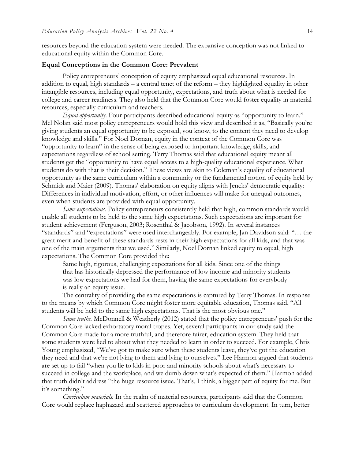resources beyond the education system were needed. The expansive conception was not linked to educational equity within the Common Core.

#### **Equal Conceptions in the Common Core: Prevalent**

Policy entrepreneurs' conception of equity emphasized equal educational resources. In addition to equal, high standards – a central tenet of the reform – they highlighted equality in other intangible resources, including equal opportunity, expectations, and truth about what is needed for college and career readiness. They also held that the Common Core would foster equality in material resources, especially curriculum and teachers.

*Equal opportunity*. Four participants described educational equity as "opportunity to learn." Mel Nolan said most policy entrepreneurs would hold this view and described it as, "Basically you're giving students an equal opportunity to be exposed, you know, to the content they need to develop knowledge and skills." For Noel Dornan, equity in the context of the Common Core was "opportunity to learn" in the sense of being exposed to important knowledge, skills, and expectations regardless of school setting. Terry Thomas said that educational equity meant all students get the "opportunity to have equal access to a high-quality educational experience. What students do with that is their decision." These views are akin to Coleman's equality of educational opportunity as the same curriculum within a community or the fundamental notion of equity held by Schmidt and Maier (2009). Thomas' elaboration on equity aligns with Jencks' democratic equality: Differences in individual motivation, effort, or other influences will make for unequal outcomes, even when students are provided with equal opportunity.

*Same expectations.* Policy entrepreneurs consistently held that high, common standards would enable all students to be held to the same high expectations. Such expectations are important for student achievement (Ferguson, 2003; Rosenthal & Jacobson, 1992). In several instances "standards" and "expectations" were used interchangeably. For example, Jan Davidson said: "… the great merit and benefit of these standards rests in their high expectations for all kids, and that was one of the main arguments that we used." Similarly, Noel Dornan linked equity to equal, high expectations. The Common Core provided the:

Same high, rigorous, challenging expectations for all kids. Since one of the things that has historically depressed the performance of low income and minority students was low expectations we had for them, having the same expectations for everybody is really an equity issue.

The centrality of providing the same expectations is captured by Terry Thomas. In response to the means by which Common Core might foster more equitable education, Thomas said, "All students will be held to the same high expectations. That is the most obvious one."

*Same truths.* McDonnell & Weatherly (2012) stated that the policy entrepreneurs' push for the Common Core lacked exhortatory moral tropes. Yet, several participants in our study said the Common Core made for a more truthful, and therefore fairer, education system. They held that some students were lied to about what they needed to learn in order to succeed. For example, Chris Young emphasized, "We've got to make sure when these students leave, they've got the education they need and that we're not lying to them and lying to ourselves." Lee Harmon argued that students are set up to fail "when you lie to kids in poor and minority schools about what's necessary to succeed in college and the workplace, and we dumb down what's expected of them." Harmon added that truth didn't address "the huge resource issue. That's, I think, a bigger part of equity for me. But it's something."

*Curriculum materials.* In the realm of material resources, participants said that the Common Core would replace haphazard and scattered approaches to curriculum development. In turn, better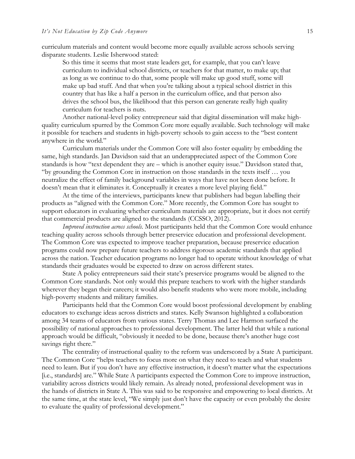curriculum materials and content would become more equally available across schools serving disparate students. Leslie Isherwood stated:

So this time it seems that most state leaders get, for example, that you can't leave curriculum to individual school districts, or teachers for that matter, to make up; that as long as we continue to do that, some people will make up good stuff, some will make up bad stuff. And that when you're talking about a typical school district in this country that has like a half a person in the curriculum office, and that person also drives the school bus, the likelihood that this person can generate really high quality curriculum for teachers is nuts.

Another national-level policy entrepreneur said that digital dissemination will make highquality curriculum spurred by the Common Core more equally available. Such technology will make it possible for teachers and students in high-poverty schools to gain access to the "best content anywhere in the world."

Curriculum materials under the Common Core will also foster equality by embedding the same, high standards. Jan Davidson said that an underappreciated aspect of the Common Core standards is how "text dependent they are – which is another equity issue." Davidson stated that, "by grounding the Common Core in instruction on those standards in the texts itself … you neutralize the effect of family background variables in ways that have not been done before. It doesn't mean that it eliminates it. Conceptually it creates a more level playing field."

At the time of the interviews, participants knew that publishers had begun labelling their products as "aligned with the Common Core." More recently, the Common Core has sought to support educators in evaluating whether curriculum materials are appropriate, but it does not certify that commercial products are aligned to the standards (CCSSO, 2012).

*Improved instruction across schools.* Most participants held that the Common Core would enhance teaching quality across schools through better preservice education and professional development. The Common Core was expected to improve teacher preparation, because preservice education programs could now prepare future teachers to address rigorous academic standards that applied across the nation. Teacher education programs no longer had to operate without knowledge of what standards their graduates would be expected to draw on across different states.

State A policy entrepreneurs said their state's preservice programs would be aligned to the Common Core standards. Not only would this prepare teachers to work with the higher standards wherever they began their careers; it would also benefit students who were more mobile, including high-poverty students and military families.

Participants held that the Common Core would boost professional development by enabling educators to exchange ideas across districts and states. Kelly Swanson highlighted a collaboration among 34 teams of educators from various states. Terry Thomas and Lee Harmon surfaced the possibility of national approaches to professional development. The latter held that while a national approach would be difficult, "obviously it needed to be done, because there's another huge cost savings right there."

The centrality of instructional quality to the reform was underscored by a State A participant. The Common Core "helps teachers to focus more on what they need to teach and what students need to learn. But if you don't have any effective instruction, it doesn't matter what the expectations [i.e., standards] are." While State A participants expected the Common Core to improve instruction, variability across districts would likely remain. As already noted, professional development was in the hands of districts in State A. This was said to be responsive and empowering to local districts. At the same time, at the state level, "We simply just don't have the capacity or even probably the desire to evaluate the quality of professional development."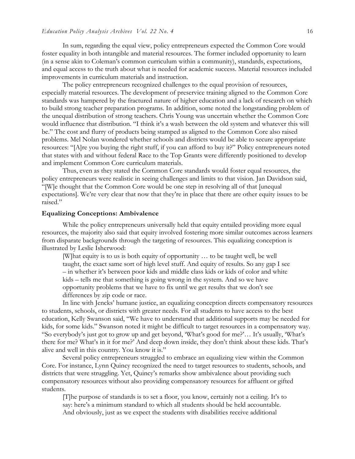In sum, regarding the equal view, policy entrepreneurs expected the Common Core would foster equality in both intangible and material resources. The former included opportunity to learn (in a sense akin to Coleman's common curriculum within a community), standards, expectations, and equal access to the truth about what is needed for academic success. Material resources included improvements in curriculum materials and instruction.

The policy entrepreneurs recognized challenges to the equal provision of resources, especially material resources. The development of preservice training aligned to the Common Core standards was hampered by the fractured nature of higher education and a lack of research on which to build strong teacher preparation programs. In addition, some noted the longstanding problem of the unequal distribution of strong teachers. Chris Young was uncertain whether the Common Core would influence that distribution. "I think it's a wash between the old system and whatever this will be." The cost and flurry of products being stamped as aligned to the Common Core also raised problems. Mel Nolan wondered whether schools and districts would be able to secure appropriate resources: "[A]re you buying the right stuff, if you can afford to buy it?" Policy entrepreneurs noted that states with and without federal Race to the Top Grants were differently positioned to develop and implement Common Core curriculum materials.

Thus, even as they stated the Common Core standards would foster equal resources, the policy entrepreneurs were realistic in seeing challenges and limits to that vision. Jan Davidson said, "[W]e thought that the Common Core would be one step in resolving all of that [unequal expectations]. We're very clear that now that they're in place that there are other equity issues to be raised."

#### **Equalizing Conceptions: Ambivalence**

While the policy entrepreneurs universally held that equity entailed providing more equal resources, the majority also said that equity involved fostering more similar outcomes across learners from disparate backgrounds through the targeting of resources. This equalizing conception is illustrated by Leslie Isherwood:

[W]hat equity is to us is both equity of opportunity … to be taught well, be well taught, the exact same sort of high level stuff. And equity of results. So any gap I see – in whether it's between poor kids and middle class kids or kids of color and white kids – tells me that something is going wrong in the system. And so we have opportunity problems that we have to fix until we get results that we don't see differences by zip code or race.

In line with Jencks' humane justice, an equalizing conception directs compensatory resources to students, schools, or districts with greater needs. For all students to have access to the best education, Kelly Swanson said, "We have to understand that additional supports may be needed for kids, for some kids." Swanson noted it might be difficult to target resources in a compensatory way. "So everybody's just got to grow up and get beyond, 'What's good for me?'… It's usually, 'What's there for me? What's in it for me?' And deep down inside, they don't think about these kids. That's alive and well in this country. You know it is."

Several policy entrepreneurs struggled to embrace an equalizing view within the Common Core. For instance, Lynn Quincy recognized the need to target resources to students, schools, and districts that were struggling. Yet, Quincy's remarks show ambivalence about providing such compensatory resources without also providing compensatory resources for affluent or gifted students.

[T]he purpose of standards is to set a floor, you know, certainly not a ceiling. It's to say: here's a minimum standard to which all students should be held accountable. And obviously, just as we expect the students with disabilities receive additional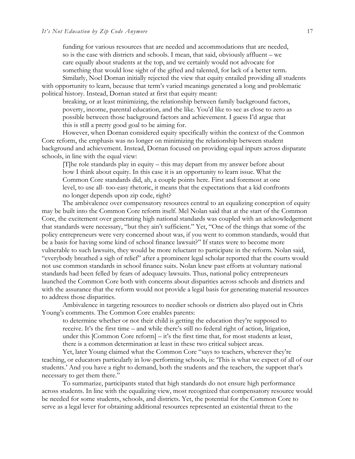funding for various resources that are needed and accommodations that are needed, so is the case with districts and schools. I mean, that said, obviously affluent – we care equally about students at the top, and we certainly would not advocate for something that would lose sight of the gifted and talented, for lack of a better term.

Similarly, Noel Dornan initially rejected the view that equity entailed providing all students with opportunity to learn, because that term's varied meanings generated a long and problematic political history. Instead, Dornan stated at first that equity meant:

breaking, or at least minimizing, the relationship between family background factors, poverty, income, parental education, and the like. You'd like to see as close to zero as possible between those background factors and achievement. I guess I'd argue that this is still a pretty good goal to be aiming for.

However, when Dornan considered equity specifically within the context of the Common Core reform, the emphasis was no longer on minimizing the relationship between student background and achievement. Instead, Dornan focused on providing equal inputs across disparate schools, in line with the equal view:

[T]he role standards play in equity – this may depart from my answer before about how I think about equity. In this case it is an opportunity to learn issue. What the Common Core standards did, ah, a couple points here. First and foremost at one level, to use all- too-easy rhetoric, it means that the expectations that a kid confronts no longer depends upon zip code, right?

The ambivalence over compensatory resources central to an equalizing conception of equity may be built into the Common Core reform itself. Mel Nolan said that at the start of the Common Core, the excitement over generating high national standards was coupled with an acknowledgement that standards were necessary, "but they ain't sufficient." Yet, "One of the things that some of the policy entrepreneurs were very concerned about was, if you went to common standards, would that be a basis for having some kind of school finance lawsuit?" If states were to become more vulnerable to such lawsuits, they would be more reluctant to participate in the reform. Nolan said, "everybody breathed a sigh of relief" after a prominent legal scholar reported that the courts would not use common standards in school finance suits. Nolan knew past efforts at voluntary national standards had been felled by fears of adequacy lawsuits. Thus, national policy entrepreneurs launched the Common Core both with concerns about disparities across schools and districts and with the assurance that the reform would not provide a legal basis for generating material resources to address those disparities.

Ambivalence in targeting resources to needier schools or districts also played out in Chris Young's comments. The Common Core enables parents:

to determine whether or not their child is getting the education they're supposed to receive. It's the first time – and while there's still no federal right of action, litigation, under this [Common Core reform] – it's the first time that, for most students at least, there is a common determination at least in these two critical subject areas.

Yet, later Young claimed what the Common Core "says to teachers, wherever they're teaching, or educators particularly in low-performing schools, is: 'This is what we expect of all of our students.' And you have a right to demand, both the students and the teachers, the support that's necessary to get them there."

To summarize, participants stated that high standards do not ensure high performance across students. In line with the equalizing view, most recognized that compensatory resource would be needed for some students, schools, and districts. Yet, the potential for the Common Core to serve as a legal lever for obtaining additional resources represented an existential threat to the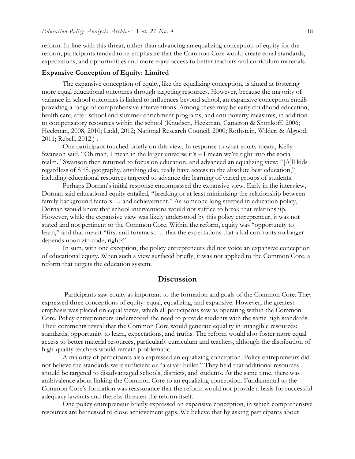reform. In line with this threat, rather than advancing an equalizing conception of equity for the reform, participants tended to re-emphasize that the Common Core would create equal standards, expectations, and opportunities and more equal access to better teachers and curriculum materials.

#### **Expansive Conception of Equity: Limited**

The expansive conception of equity, like the equalizing conception, is aimed at fostering more equal educational outcomes through targeting resources. However, because the majority of variance in school outcomes is linked to influences beyond school, an expansive conception entails providing a range of comprehensive interventions. Among these may be early childhood education, health care, after-school and summer enrichment programs, and anti-poverty measures, in addition to compensatory resources within the school (Knudsen, Heckman, Cameron & Shonkoff, 2006; Heckman, 2008, 2010; Ladd, 2012; National Research Council, 2000; Rothstein, Wilder, & Algood, 2011; Rebell, 2012.) .

One participant touched briefly on this view. In response to what equity meant, Kelly Swanson said, "Oh man, I mean in the larger universe it's – I mean we're right into the social realm." Swanson then returned to focus on education, and advanced an equalizing view: "[A]ll kids regardless of SES, geography, anything else, really have access to the absolute best education," including educational resources targeted to advance the learning of varied groups of students.

Perhaps Dornan's initial response encompassed the expansive view. Early in the interview, Dornan said educational equity entailed, "breaking or at least minimizing the relationship between family background factors … and achievement." As someone long steeped in education policy, Dornan would know that school interventions would not suffice to break that relationship. However, while the expansive view was likely understood by this policy entrepreneur, it was not stated and not pertinent to the Common Core. Within the reform, equity was "opportunity to learn," and that meant "first and foremost … that the expectations that a kid confronts no longer depends upon zip code, right?"

In sum, with one exception, the policy entrepreneurs did not voice an expansive conception of educational equity. When such a view surfaced briefly, it was not applied to the Common Core, a reform that targets the education system.

### **Discussion**

Participants saw equity as important to the formation and goals of the Common Core. They expressed three conceptions of equity: equal, equalizing, and expansive. However, the greatest emphasis was placed on equal views, which all participants saw as operating within the Common Core. Policy entrepreneurs underscored the need to provide students with the same high standards. Their comments reveal that the Common Core would generate equality in intangible resources: standards, opportunity to learn, expectations, and truths. The reform would also foster more equal access to better material resources, particularly curriculum and teachers, although the distribution of high-quality teachers would remain problematic.

A majority of participants also expressed an equalizing conception. Policy entrepreneurs did not believe the standards were sufficient or "a silver bullet." They held that additional resources should be targeted to disadvantaged schools, districts, and students. At the same time, there was ambivalence about linking the Common Core to an equalizing conception. Fundamental to the Common Core's formation was reassurance that the reform would not provide a basis for successful adequacy lawsuits and thereby threaten the reform itself.

One policy entrepreneur briefly expressed an expansive conception, in which comprehensive resources are harnessed to close achievement gaps. We believe that by asking participants about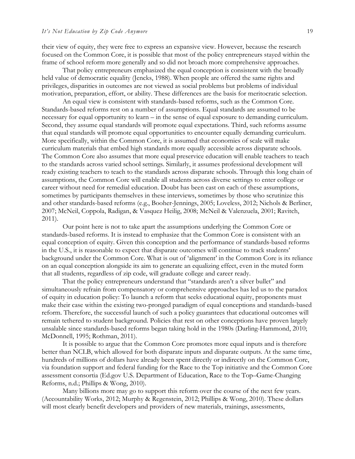their view of equity, they were free to express an expansive view. However, because the research focused on the Common Core, it is possible that most of the policy entrepreneurs stayed within the frame of school reform more generally and so did not broach more comprehensive approaches.

That policy entrepreneurs emphasized the equal conception is consistent with the broadly held value of democratic equality (Jencks, 1988). When people are offered the same rights and privileges, disparities in outcomes are not viewed as social problems but problems of individual motivation, preparation, effort, or ability. These differences are the basis for meritocratic selection.

An equal view is consistent with standards-based reforms, such as the Common Core. Standards-based reforms rest on a number of assumptions. Equal standards are assumed to be necessary for equal opportunity to learn – in the sense of equal exposure to demanding curriculum. Second, they assume equal standards will promote equal expectations. Third, such reforms assume that equal standards will promote equal opportunities to encounter equally demanding curriculum. More specifically, within the Common Core, it is assumed that economies of scale will make curriculum materials that embed high standards more equally accessible across disparate schools. The Common Core also assumes that more equal preservice education will enable teachers to teach to the standards across varied school settings. Similarly, it assumes professional development will ready existing teachers to teach to the standards across disparate schools. Through this long chain of assumptions, the Common Core will enable all students across diverse settings to enter college or career without need for remedial education. Doubt has been cast on each of these assumptions, sometimes by participants themselves in these interviews, sometimes by those who scrutinize this and other standards-based reforms (e.g., Booher-Jennings, 2005; Loveless, 2012; Nichols & Berliner, 2007; McNeil, Coppola, Radigan, & Vasquez Heilig, 2008; McNeil & Valenzuela, 2001; Ravitch, 2011).

Our point here is not to take apart the assumptions underlying the Common Core or standards-based reforms. It is instead to emphasize that the Common Core is consistent with an equal conception of equity. Given this conception and the performance of standards-based reforms in the U.S., it is reasonable to expect that disparate outcomes will continue to track students' background under the Common Core. What is out of 'alignment' in the Common Core is its reliance on an equal conception alongside its aim to generate an equalizing effect, even in the muted form that all students, regardless of zip code, will graduate college and career ready.

That the policy entrepreneurs understand that "standards aren't a silver bullet" and simultaneously refrain from compensatory or comprehensive approaches has led us to the paradox of equity in education policy: To launch a reform that seeks educational equity, proponents must make their case within the existing two-pronged paradigm of equal conceptions and standards-based reform. Therefore, the successful launch of such a policy guarantees that educational outcomes will remain tethered to student background. Policies that rest on other conceptions have proven largely unsalable since standards-based reforms began taking hold in the 1980s (Darling-Hammond, 2010; McDonnell, 1995; Rothman, 2011).

It is possible to argue that the Common Core promotes more equal inputs and is therefore better than NCLB, which allowed for both disparate inputs and disparate outputs. At the same time, hundreds of millions of dollars have already been spent directly or indirectly on the Common Core, via foundation support and federal funding for the Race to the Top initiative and the Common Core assessment consortia (Ed.gov U.S. Department of Education, Race to the Top–Game-Changing Reforms, n.d.; Phillips & Wong, 2010).

Many billions more may go to support this reform over the course of the next few years. (Accountability Works, 2012; Murphy & Regenstein, 2012; Phillips & Wong, 2010). These dollars will most clearly benefit developers and providers of new materials, trainings, assessments,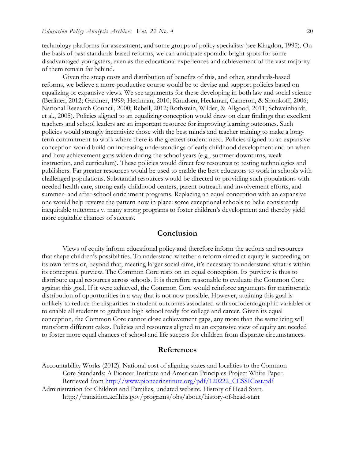technology platforms for assessment, and some groups of policy specialists (see Kingdon, 1995). On the basis of past standards-based reforms, we can anticipate sporadic bright spots for some disadvantaged youngsters, even as the educational experiences and achievement of the vast majority of them remain far behind.

Given the steep costs and distribution of benefits of this, and other, standards-based reforms, we believe a more productive course would be to devise and support policies based on equalizing or expansive views. We see arguments for these developing in both law and social science (Berliner, 2012; Gardner, 1999; Heckman, 2010; Knudsen, Heckman, Cameron, & Shonkoff, 2006; National Research Council, 2000; Rebell, 2012; Rothstein, Wilder, & Allgood, 2011; Schweinhardt, et al., 2005). Policies aligned to an equalizing conception would draw on clear findings that excellent teachers and school leaders are an important resource for improving learning outcomes. Such policies would strongly incentivize those with the best minds and teacher training to make a longterm commitment to work where there is the greatest student need. Policies aligned to an expansive conception would build on increasing understandings of early childhood development and on when and how achievement gaps widen during the school years (e.g., summer downturns, weak instruction, and curriculum). These policies would direct few resources to testing technologies and publishers. Far greater resources would be used to enable the best educators to work in schools with challenged populations. Substantial resources would be directed to providing such populations with needed health care, strong early childhood centers, parent outreach and involvement efforts, and summer- and after-school enrichment programs. Replacing an equal conception with an expansive one would help reverse the pattern now in place: some exceptional schools to belie consistently inequitable outcomes v. many strong programs to foster children's development and thereby yield more equitable chances of success.

## **Conclusion**

Views of equity inform educational policy and therefore inform the actions and resources that shape children's possibilities. To understand whether a reform aimed at equity is succeeding on its own terms or, beyond that, meeting larger social aims, it's necessary to understand what is within its conceptual purview. The Common Core rests on an equal conception. Its purview is thus to distribute equal resources across schools. It is therefore reasonable to evaluate the Common Core against this goal. If it were achieved, the Common Core would reinforce arguments for meritocratic distribution of opportunities in a way that is not now possible. However, attaining this goal is unlikely to reduce the disparities in student outcomes associated with sociodemographic variables or to enable all students to graduate high school ready for college and career. Given its equal conception, the Common Core cannot close achievement gaps, any more than the same icing will transform different cakes. Policies and resources aligned to an expansive view of equity are needed to foster more equal chances of school and life success for children from disparate circumstances.

#### **References**

Accountability Works (2012). National cost of aligning states and localities to the Common Core Standards: A Pioneer Institute and American Principles Project White Paper. Retrieved from http://www.pioneerinstitute.org/pdf/120222\_CCSSICost.pdf Administration for Children and Families, undated website. History of Head Start. http://transition.acf.hhs.gov/programs/ohs/about/history-of-head-start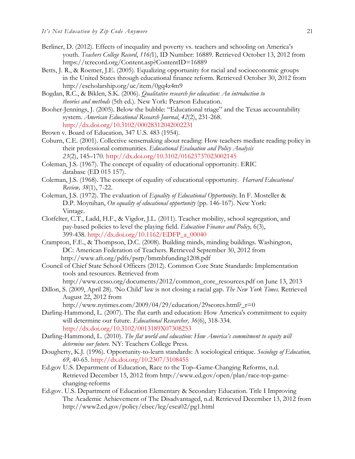- Berliner, D. (2012). Effects of inequality and poverty vs. teachers and schooling on America's youth. *Teachers College Record*, *116(*1), ID Number: 16889. Retrieved October 13, 2012 from https://tcrecord.org/Content.asp?ContentID=16889
- Betts, J. R., & Roemer, J.E. (2005). Equalizing opportunity for racial and socioeconomic groups in the United States through educational finance reform. Retrieved October 30, 2012 from http://escholarship.org/uc/item/0gq4z4m9
- Bogdan, R.C., & Biklen, S.K. (2006). *Qualitative research for education: An introduction to theories and methods* (5th ed.). New York: Pearson Education.
- Booher-Jennings, J. (2005). Below the bubble: "Educational triage" and the Texas accountability system. *American Educational Research Journal*, *42*(2), 231-268. http://dx.doi.org/10.3102/00028312042002231
- Brown v. Board of Education*,* 347 U.S. 483 (1954).
- Coburn, C.E. (2001). Collective sensemaking about reading: How teachers mediate reading policy in their professional communities. *Educational Evaluation and Policy Analysis 23*(2), 145–170. http://dx.doi.org/10.3102/01623737023002145
- Coleman, J.S. (1967). The concept of equality of educational opportunity. ERIC database (ED 015 157).
- Coleman, J.S. (1968). The concept of equality of educational opportunity. *Harvard Educational Review, 38*(1), 7-22.
- Coleman, J.S. (1972). The evaluation of *Equality of Educational Opportunity.* In F. Mosteller & D.P. Moynihan, *On equality of educational opportunity* (pp. 146-167). New York: Vintage.
- Clotfelter, C.T., Ladd, H.F., & Vigdor, J.L. (2011). Teacher mobility, school segregation, and pay-based policies to level the playing field. *Education Finance and Policy,* 6(3), 399-438. http://dx.doi.org/10.1162/EDFP\_a\_00040
- Crampton, F.E., & Thompson, D.C. (2008). Building minds, minding buildings. Washington, DC: American Federation of Teachers. Retrieved September 30, 2012 from http://www.aft.org/pdfs/psrp/bmmbfunding1208.pdf
- Council of Chief State School Officers (2012). Common Core State Standards: Implementation tools and resources. Retrieved from http://www.ccsso.org/documents/2012/common\_core\_resources.pdf on June 13, 2013
- Dillon, S. (2009, April 28). 'No Child' law is not closing a racial gap. *The New York Times.* Retrieved August 22, 2012 from
	- http://www.nytimes.com/2009/04/29/education/29scores.html?\_r=0
- Darling-Hammond, L. (2007). The flat earth and education: How America's commitment to equity will determine our future. *Educational Researcher, 36*(6), 318-334. http://dx.doi.org/10.3102/0013189X07308253
- Darling-Hammond, L. (2010). *The flat world and education: How America's commitment to equity will determine our future.* NY: Teachers College Press.
- Dougherty, K.J. (1996). Opportunity-to-learn standards: A sociological critique. *Sociology of Education, 69*, 40-65. http://dx.doi.org/10.2307/3108455
- Ed.gov U.S. Department of Education, Race to the Top–Game-Changing Reforms, n.d. Retrieved December 15, 2012 from http://www.ed.gov/open/plan/race-top-gamechanging-reforms
- Ed.gov. U.S. Department of Education Elementary & Secondary Education. Title I Improving The Academic Achievement of The Disadvantaged, n.d. Retrieved December 13, 2012 from http://www2.ed.gov/policy/elsec/leg/esea02/pg1.html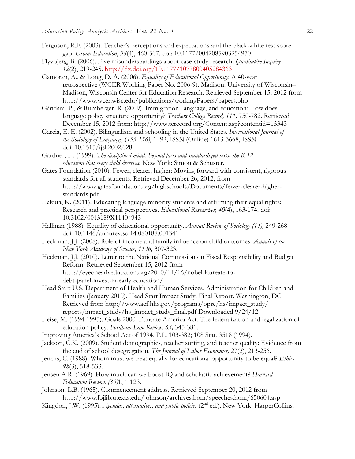- Ferguson, R.F. (2003). Teacher's perceptions and expectations and the black-white test score gap. *Urban Education*, *38*(4), 460-507. doi: 10.1177/0042085903254970
- Flyvbjerg, B. (2006). Five misunderstandings about case-study research. *Qualitative Inquiry 12*(2), 219-245. http://dx.doi.org/10.1177/1077800405284363
- Gamoran, A., & Long, D. A. (2006). *Equality of Educational Opportunity*: A 40-year retrospective (WCER Working Paper No. 2006-9). Madison: University of Wisconsin– Madison, Wisconsin Center for Education Research. Retrieved September 15, 2012 from http://www.wcer.wisc.edu/publications/workingPapers/papers.php
- Gándara, P., & Rumberger, R. (2009). Immigration, language, and education: How does language policy structure opportunity? *Teachers College Record, 111,* 750-782. Retrieved December 15, 2012 from: http://www.tcrecord.org/Content.asp?contentid=15343
- Garcia, E. E. (2002). Bilingualism and schooling in the United States. *International Journal of the Sociology of Language,* (*155-156)*, 1–92, ISSN (Online) 1613-3668, ISSN doi: 10.1515/ijsl.2002.028
- Gardner, H. (1999). *The disciplined mind*: *Beyond facts and standardized tests, the K-12 education that every child deserves.* New York: Simon & Schuster.
- Gates Foundation (2010). Fewer, clearer, higher: Moving forward with consistent, rigorous standards for all students. Retrieved December 26, 2012, from http://www.gatesfoundation.org/highschools/Documents/fewer-clearer-higherstandards.pdf
- Hakuta, K. (2011). Educating language minority students and affirming their equal rights: Research and practical perspectives. *Educational Researcher, 40*(4), 163-174. doi: 10.3102/0013189X11404943
- Hallinan (1988). Equality of educational opportunity. *Annual Review of Sociology (14),* 249-268 doi: 10.1146/annurev.so.14.080188.001341
- Heckman, J.J. (2008). Role of income and family influence on child outcomes. *Annals of the New York Academy of Science, 1136,* 307-323.
- Heckman, J.J. (2010). Letter to the National Commission on Fiscal Responsibility and Budget Reform. Retrieved September 15, 2012 from http://eyeonearlyeducation.org/2010/11/16/nobel-laureate-todebt-panel-invest-in-early-education/
- Head Start U.S. Department of Health and Human Services, Administration for Children and Families (January 2010). Head Start Impact Study. Final Report. Washington, DC. Retrieved from http://www.acf.hhs.gov/programs/opre/hs/impact\_study/ reports/impact\_study/hs\_impact\_study\_final.pdf Downloaded 9/24/12
- Heise, M. (1994-1995). Goals 2000: Educate America Act: The federalization and legalization of education policy. *Fordham Law Review. 63,* 345-381.
- Improving America's School Act of 1994, P.L. 103-382; 108 Stat. 3518 (1994).
- Jackson, C.K. (2009). Student demographics, teacher sorting, and teacher quality: Evidence from the end of school desegregation. *The Journal of Labor Economics,* 27(2), 213-256.
- Jencks, C. (1988). Whom must we treat equally for educational opportunity to be equal? *Ethics, 98*(3), 518-533.
- Jensen A R. (1969). How much can we boost IQ and scholastic achievement? *Harvard Education Review, (39)*1, 1-123.
- Johnson, L.B. (1965). Commencement address. Retrieved September 20, 2012 from http://www.lbjlib.utexas.edu/johnson/archives.hom/speeches.hom/650604.asp
- Kingdon, J.W. (1995). *Agendas, alternatives, and public policies* (2<sup>nd</sup> ed.). New York: HarperCollins.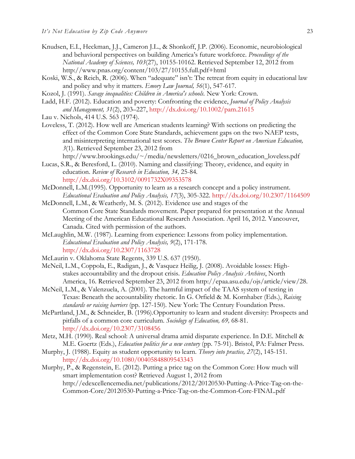- Knudsen, E.I., Heckman, J.J., Cameron J.L., & Shonkoff, J.P. (2006). Economic, neurobiological and behavioral perspectives on building America's future workforce. *Proceedings of the National Academy of Sciences, 103*(27), 10155-10162. Retrieved September 12, 2012 from http://www.pnas.org/content/103/27/10155.full.pdf+html
- Koski, W.S., & Reich, R. (2006). When "adequate" isn't: The retreat from equity in educational law and policy and why it matters. *Emory Law Journal, 56*(1), 547-617.
- Kozol, J. (1991). *Savage inequalities: Children in America's schools.* New York: Crown.
- Ladd, H.F. (2012). Education and poverty: Confronting the evidence, *Journal of Policy Analysis and Management, 31*(2), 203–227, http://dx.doi.org/10.1002/pam.21615
- Lau v. Nichols, 414 U.S. 563 (1974).
- Loveless, T. (2012). How well are American students learning? With sections on predicting the effect of the Common Core State Standards, achievement gaps on the two NAEP tests, and misinterpreting international test scores. *The Brown Center Report on American Education, 3*(1). Retrieved September 23, 2012 from

http://www.brookings.edu/~/media/newsletters/0216\_brown\_education\_loveless.pdf

Lucas, S.R., & Beresford, L. (2010). Naming and classifying: Theory, evidence, and equity in education. *Review of Research in Education, 34,* 25-84*.* 

http://dx.doi.org/10.3102/0091732X09353578

- McDonnell, L.M.(1995). Opportunity to learn as a research concept and a policy instrument. *Educational Evaluation and Policy Analysis, 17*(3), 305-322. http://dx.doi.org/10.2307/1164509
- McDonnell, L.M., & Weatherly, M. S. (2012). Evidence use and stages of the Common Core State Standards movement. Paper prepared for presentation at the Annual Meeting of the American Educational Research Association. April 16, 2012. Vancouver, Canada. Cited with permission of the authors.
- McLaughlin, M.W. (1987). Learning from experience: Lessons from policy implementation. *Educational Evaluation and Policy Analysis, 9*(2), 171-178. http://dx.doi.org/10.2307/1163728
- McLaurin v. Oklahoma State Regents, 339 U.S. 637 (1950).
- McNeil, L.M., Coppola, E., Radigan, J., & Vasquez Heilig, J. (2008). Avoidable losses: Highstakes accountability and the dropout crisis. *Education Policy Analysis Archives*, North America, 16. Retrieved September 23, 2012 from http://epaa.asu.edu/ojs/article/view/28.
- McNeil, L.M., & Valenzuela, A. (2001). The harmful impact of the TAAS system of testing in Texas: Beneath the accountability rhetoric. In G. Orfield & M. Kornhaber (Eds.), *Raising standards or raising barriers* (pp. 127-150)*.* New York: The Century Foundation Press.
- McPartland, J.M., & Schneider, B. (1996).Opportunity to learn and student diversity: Prospects and pitfalls of a common core curriculum. *Sociology of Education, 69,* 68-81. http://dx.doi.org/10.2307/3108456
- Metz, M.H. (1990). Real school: A universal drama amid disparate experience. In D.E. Mitchell & M.E. Goertz (Eds.), *Education politics for a new century* (pp. 75-91). Bristol, PA: Falmer Press.
- Murphy, J. (1988). Equity as student opportunity to learn. *Theory into practice, 27*(2), 145-151. http://dx.doi.org/10.1080/00405848809543343
- Murphy, P., & Regenstein, E. (2012). Putting a price tag on the Common Core: How much will smart implementation cost? Retrieved August 1, 2012 from http://edexcellencemedia.net/publications/2012/20120530-Putting-A-Price-Tag-on-the-Common-Core/20120530-Putting-a-Price-Tag-on-the-Common-Core-FINAL.pdf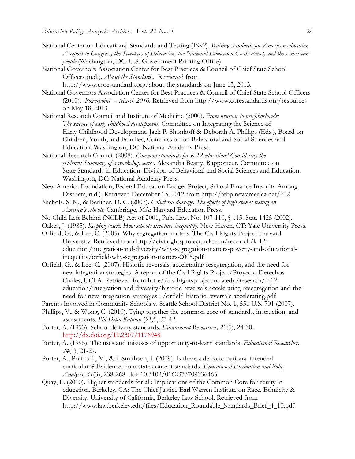- National Center on Educational Standards and Testing (1992). *Raising standards for American education. A report to Congress, the Secretary of Education, the National Education Goals Panel, and the American people* (Washington, DC: U.S. Government Printing Office).
- National Governors Association Center for Best Practices & Council of Chief State School Officers (n.d.). *About the Standards*. Retrieved from
- http://www.corestandards.org/about-the-standards on June 13, 2013. National Governors Association Center for Best Practices & Council of Chief State School Officers (2010). *Powerpoint – March 2010.* Retrieved from http://www.corestandards.org/resources on May 18, 2013.
- National Research Council and Institute of Medicine (2000). *From neurons to neighborhoods: The science of early childhood development*. Committee on Integrating the Science of Early Childhood Development. Jack P. Shonkoff & Deborah A. Phillips (Eds.), Board on Children, Youth, and Families, Commission on Behavioral and Social Sciences and Education. Washington, DC: National Academy Press.
- National Research Council (2008). *Common standards for K-12 education? Considering the evidence: Summary of a workshop series*. Alexandra Beatty. Rapporteur. Committee on State Standards in Education. Division of Behavioral and Social Sciences and Education. Washington, DC: National Academy Press.
- New America Foundation, Federal Education Budget Project, School Finance Inequity Among Districts, n.d.). Retrieved December 15, 2012 from http://febp.newamerica.net/k12
- Nichols, S. N., & Berliner, D. C. (2007). *Collateral damage: The effects of high-stakes testing on America's schools*. Cambridge, MA: Harvard Education Press.
- No Child Left Behind (NCLB) Act of 2001, Pub. Law. No. 107-110, § 115. Stat. 1425 (2002).
- Oakes, J. (1985). *Keeping track: How schools structure inequality*. New Haven, CT: Yale University Press.
- Orfield, G., & Lee, C. (2005). Why segregation matters. The Civil Rights Project Harvard University. Retrieved from http://civilrightsproject.ucla.edu/research/k-12 education/integration-and-diversity/why-segregation-matters-poverty-and-educationalinequality/orfield-why-segregation-matters-2005.pdf
- Orfield, G., & Lee, C. (2007). Historic reversals, accelerating resegregation, and the need for new integration strategies. A report of the Civil Rights Project/Proyecto Derechos Civiles, UCLA. Retrieved from http://civilrightsproject.ucla.edu/research/k-12 education/integration-and-diversity/historic-reversals-accelerating-resegregation-and-theneed-for-new-integration-strategies-1/orfield-historic-reversals-accelerating.pdf
- Parents Involved in Community Schools v. Seattle School District No. 1, 551 U.S. 701 (2007).
- Phillips, V., & Wong, C. (2010). Tying together the common core of standards, instruction, and assessments. *Phi Delta Kappan* (*91)*5, 37-42.
- Porter, A. (1993). School delivery standards. *Educational Researcher, 22*(5), 24-30. http://dx.doi.org/10.2307/1176948
- Porter, A. (1995). The uses and misuses of opportunity-to-learn standards, *Educational Researcher, 24*(1), 21-27.
- Porter, A., Polikoff , M., & J. Smithson, J. (2009). Is there a de facto national intended curriculum? Evidence from state content standards. *Educational Evaluation and Policy Analysis, 31*(3), 238-268. doi: 10.3102/0162373709336465
- Quay, L. (2010). Higher standards for all: Implications of the Common Core for equity in education. Berkeley, CA: The Chief Justice Earl Warren Institute on Race, Ethnicity & Diversity, University of California, Berkeley Law School. Retrieved from http://www.law.berkeley.edu/files/Education\_Roundable\_Standards\_Brief\_4\_10.pdf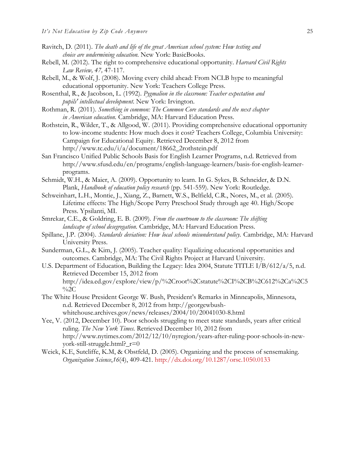- Ravitch, D. (2011). *The death and life of the great American school system: How testing and choice are undermining education.* New York: BasicBooks.
- Rebell, M. (2012). The right to comprehensive educational opportunity. *Harvard Civil Rights Law Review, 47,* 47-117.
- Rebell, M., & Wolf, J. (2008). Moving every child ahead: From NCLB hype to meaningful educational opportunity. New York: Teachers College Press.
- Rosenthal, R., & Jacobson, L. (1992). *Pygmalion in the classroom: Teacher expectation and pupils' intellectual development*. New York: Irvington.
- Rothman, R. (2011). *Something in common: The Common Core standards and the next chapter in American education.* Cambridge, MA: Harvard Education Press.
- Rothstein, R., Wilder, T., & Allgood, W. (2011). Providing comprehensive educational opportunity to low-income students: How much does it cost? Teachers College, Columbia University: Campaign for Educational Equity. Retrieved December 8, 2012 from http://www.tc.edu/i/a/document/18662\_2rothstein.pdf
- San Francisco Unified Public Schools Basis for English Learner Programs, n.d. Retrieved from http://www.sfusd.edu/en/programs/english-language-learners/basis-for-english-learnerprograms.
- Schmidt, W.H., & Maier, A. (2009). Opportunity to learn. In G. Sykes, B. Schneider, & D.N. Plank, *Handbook of education policy research* (pp. 541-559). New York: Routledge*.*
- Schweinhart, L.H., Montie, J., Xiang, Z., Barnett, W.S., Belfield, C.R., Nores, M., et al. (2005). Lifetime effects: The High/Scope Perry Preschool Study through age 40. High/Scope Press. Ypsilanti, MI.
- Smrekar, C.E., & Goldring, E. B. (2009). *From the courtroom to the classroom: The shifting landscape of school desegregation.* Cambridge, MA: Harvard Education Press.
- Spillane, J.P. (2004). *Standards deviation: How local schools misunderstand policy.* Cambridge, MA: Harvard University Press.
- Sunderman, G.L., & Kim, J. (2005). Teacher quality: Equalizing educational opportunities and outcomes. Cambridge, MA: The Civil Rights Project at Harvard University.
- U.S. Department of Education, Building the Legacy: Idea 2004, Statute TITLE I/B/612/a/5, n.d. Retrieved December 15, 2012 from http://idea.ed.gov/explore/view/p/%2Croot%2Cstatute%2CI%2CB%2C612%2Ca%2C5  $\%2C$
- The White House President George W. Bush, President's Remarks in Minneapolis, Minnesota, n.d. Retrieved December 8, 2012 from http://georgewbushwhitehouse.archives.gov/news/releases/2004/10/20041030-8.html
- Yee, V. (2012, December 10). Poor schools struggling to meet state standards, years after critical ruling. *The New York Times.* Retrieved December 10, 2012 from http://www.nytimes.com/2012/12/10/nyregion/years-after-ruling-poor-schools-in-newyork-still-struggle.html?\_r=0
- Weick, K.E, Sutcliffe, K.M, & Obstfeld, D. (2005). Organizing and the process of sensemaking. *Organization Science*,*16*(4), 409-421. http://dx.doi.org/10.1287/orsc.1050.0133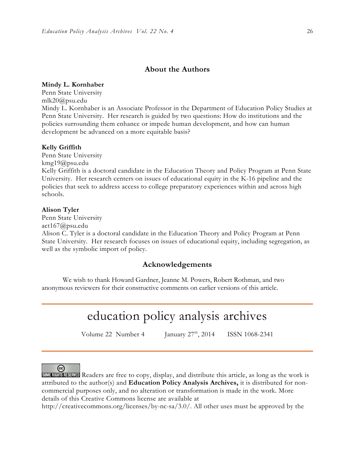## **About the Authors**

#### **Mindy L. Kornhaber**

Penn State University mlk20@psu.edu Mindy L. Kornhaber is an Associate Professor in the Department of Education Policy Studies at Penn State University. Her research is guided by two questions: How do institutions and the policies surrounding them enhance or impede human development, and how can human development be advanced on a more equitable basis?

#### **Kelly Griffith**

Penn State University kmg19@psu.edu Kelly Griffith is a doctoral candidate in the Education Theory and Policy Program at Penn State University. Her research centers on issues of educational equity in the K-16 pipeline and the policies that seek to address access to college preparatory experiences within and across high schools.

#### **Alison Tyler**

Penn State University

act167@psu.edu

Alison C. Tyler is a doctoral candidate in the Education Theory and Policy Program at Penn State University. Her research focuses on issues of educational equity, including segregation, as well as the symbolic import of policy.

### **Acknowledgements**

We wish to thank Howard Gardner, Jeanne M. Powers, Robert Rothman, and two anonymous reviewers for their constructive comments on earlier versions of this article.

# education policy analysis archives

Volume 22 Number 4 January  $27<sup>th</sup>$ , 2014 ISSN 1068-2341

 $_{\rm (cc)}$ 

SOME RIGHTS RESERVED Readers are free to copy, display, and distribute this article, as long as the work is attributed to the author(s) and **Education Policy Analysis Archives,** it is distributed for noncommercial purposes only, and no alteration or transformation is made in the work. More details of this Creative Commons license are available at

http://creativecommons.org/licenses/by-nc-sa/3.0/. All other uses must be approved by the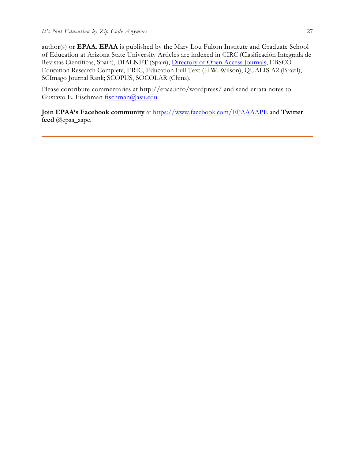author(s) or **EPAA**. **EPAA** is published by the Mary Lou Fulton Institute and Graduate School of Education at Arizona State University Articles are indexed in CIRC (Clasificación Integrada de Revistas Científicas, Spain), DIALNET (Spain), Directory of Open Access Journals, EBSCO Education Research Complete, ERIC, Education Full Text (H.W. Wilson), QUALIS A2 (Brazil), SCImago Journal Rank; SCOPUS, SOCOLAR (China).

Please contribute commentaries at http://epaa.info/wordpress/ and send errata notes to Gustavo E. Fischman fischman@asu.edu

**Join EPAA's Facebook community** at https://www.facebook.com/EPAAAAPE and **Twitter feed** @epaa\_aape.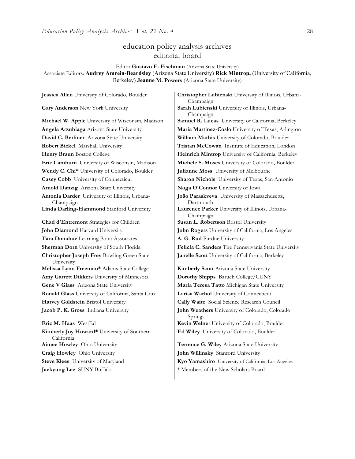## education policy analysis archives editorial board

Editor **Gustavo E. Fischman** (Arizona State University) Associate Editors: **Audrey Amrein-Beardsley** (Arizona State University) **Rick Mintrop,** (University of California, Berkeley) **Jeanne M. Powers** (Arizona State University)

**Gary Anderson** New York University **Sarah Lubienski University of Illinois**, Urbana-**David C. Berliner** Arizona State University **William Mathis** University of Colorado, Boulder **Wendy C. Chi\*** University of Colorado, Boulder **Julianne Moss** University of Melbourne **Casey Cobb** University of Connecticut **Sharon Nichols** University of Texas, San Antonio **Arnold Danzig** Arizona State University **Noga O'Connor** University of Iowa **Antonia Darder** University of Illinois, Urbana-Champaign **Linda Darling-Hammond** Stanford University **Laurence Parker** University of Illinois, Urbana-**Chad d'Entremont** Strategies for Children | Susan L. Robertson Bristol University **John Diamond** Harvard University **John Rogers** University of California, Los Angeles **Tara Donahue** Learning Point Associates **A. G. Rud** Purdue University **Christopher Joseph Frey** Bowling Green State University **Melissa Lynn Freeman\*** Adams State College **Kimberly Scott** Arizona State University **Amy Garrett Dikkers** University of Minnesota **Dorothy Shipps** Baruch College/CUNY **Gene V Glass** Arizona State University **Maria Teresa Tatto** Michigan State University **Ronald Glass** University of California, Santa Cruz **Larisa Warhol** University of Connecticut **Harvey Goldstein** Bristol University **Cally Waite** Social Science Research Council **Jacob P. K. Gross** Indiana University **John Weathers** University of Colorado, Colorado **Eric M. Haas** WestEd **Kevin Welner** University of Colorado, Boulder **Kimberly Joy Howard\*** University of Southern California **Aimee Howley** Ohio University **Terrence G. Wiley** Arizona State University **Craig Howley** Ohio University **John Willinsky** Stanford University

**Jessica Allen** University of Colorado, Boulder **Christopher Lubienski** University of Illinois, Urbana-Champaign Champaign **Michael W. Apple** University of Wisconsin, Madison **Samuel R. Lucas** University of California, Berkeley **Angela Arzubiaga** Arizona State University **Maria Martinez-Coslo** University of Texas, Arlington **Robert Bickel** Marshall University **Tristan McCowan** Institute of Education, London **Henry Braun** Boston College **Heinrich Mintrop** University of California, Berkeley **Eric Camburn** University of Wisconsin, Madison **Michele S. Moses** University of Colorado, Boulder **João Paraskveva** University of Massachusetts, Dartmouth Champaign **Sherman Dorn** University of South Florida **Felicia C. Sanders** The Pennsylvania State University **Janelle Scott** University of California, Berkeley Springs **Ed Wiley** University of Colorado, Boulder

**Steve Klees** University of Maryland **Kyo Yamashiro** University of California, Los Angeles **Jaekyung Lee** SUNY Buffalo \* \* Members of the New Scholars Board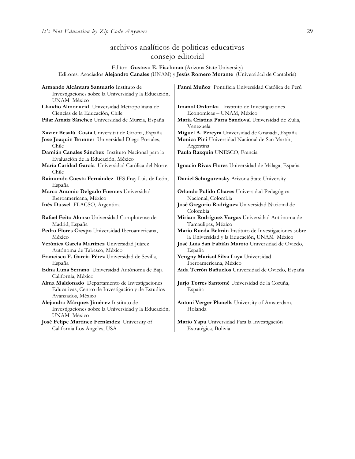## archivos analíticos de políticas educativas consejo editorial

Editor: **Gustavo E. Fischman** (Arizona State University) Editores. Asociados **Alejandro Canales** (UNAM) y **Jesús Romero Morante** (Universidad de Cantabria)

| Armando Alcántara Santuario Instituto de                                    | Fanni Muñoz Pontificia Universidad Católica de Perú                   |
|-----------------------------------------------------------------------------|-----------------------------------------------------------------------|
| Investigaciones sobre la Universidad y la Educación,                        |                                                                       |
| UNAM México                                                                 |                                                                       |
| Claudio Almonacid Universidad Metropolitana de                              | Imanol Ordorika Instituto de Investigaciones                          |
| Ciencias de la Educación, Chile                                             | Economicas - UNAM, México                                             |
| Pilar Arnaiz Sánchez Universidad de Murcia, España                          | Maria Cristina Parra Sandoval Universidad de Zulia,<br>Venezuela      |
| Xavier Besalú Costa Universitat de Girona, España                           | Miguel A. Pereyra Universidad de Granada, España                      |
| Jose Joaquin Brunner Universidad Diego Portales,<br>Chile                   | Monica Pini Universidad Nacional de San Martín,<br>Argentina          |
| Damián Canales Sánchez Instituto Nacional para la                           | Paula Razquin UNESCO, Francia                                         |
| Evaluación de la Educación, México                                          |                                                                       |
| María Caridad García Universidad Católica del Norte,<br>Chile               | Ignacio Rivas Flores Universidad de Málaga, España                    |
| Raimundo Cuesta Fernández IES Fray Luis de León,                            | Daniel Schugurensky Arizona State University                          |
| España                                                                      |                                                                       |
| Marco Antonio Delgado Fuentes Universidad                                   | Orlando Pulido Chaves Universidad Pedagógica                          |
| Iberoamericana, México                                                      | Nacional, Colombia                                                    |
| Inés Dussel FLACSO, Argentina                                               | José Gregorio Rodríguez Universidad Nacional de<br>Colombia           |
| Rafael Feito Alonso Universidad Complutense de<br>Madrid, España            | Miriam Rodríguez Vargas Universidad Autónoma de<br>Tamaulipas, México |
| Pedro Flores Crespo Universidad Iberoamericana,                             | Mario Rueda Beltrán Instituto de Investigaciones sobre                |
| México                                                                      | la Universidad y la Educación, UNAM México                            |
| Verónica García Martínez Universidad Juárez                                 | José Luis San Fabián Maroto Universidad de Oviedo,                    |
| Autónoma de Tabasco, México                                                 | España                                                                |
| Francisco F. García Pérez Universidad de Sevilla,                           | Yengny Marisol Silva Laya Universidad                                 |
| España                                                                      | Iberoamericana, México                                                |
| Edna Luna Serrano Universidad Autónoma de Baja<br>California, México        | Aida Terrón Bañuelos Universidad de Oviedo, España                    |
| Alma Maldonado Departamento de Investigaciones                              | Jurio Torres Santomé Universidad de la Coruña,                        |
| Educativas, Centro de Investigación y de Estudios<br>Avanzados, México      | España                                                                |
| Alejandro Márquez Jiménez Instituto de                                      | Antoni Verger Planells University of Amsterdam,                       |
| Investigaciones sobre la Universidad y la Educación,                        | Holanda                                                               |
| UNAM México                                                                 |                                                                       |
| José Felipe Martínez Fernández University of<br>California Los Angeles, USA | Mario Yapu Universidad Para la Investigación<br>Estratégica, Bolivia  |